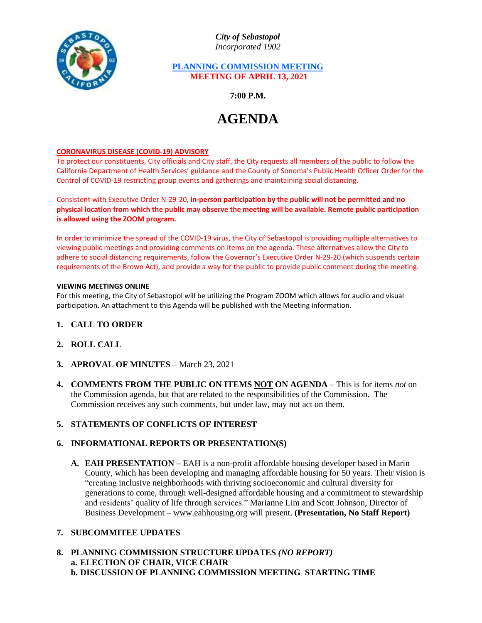

*City of Sebastopol Incorporated 1902*

## **PLANNING COMMISSION MEETING MEETING OF APRIL 13, 2021**

**7:00 P.M.**

# **AGENDA**

#### **CORONAVIRUS DISEASE (COVID-19) ADVISORY**

To protect our constituents, City officials and City staff, the City requests all members of the public to follow the California Department of Health Services' guidance and the County of Sonoma's Public Health Officer Order for the Control of COVID-19 restricting group events and gatherings and maintaining social distancing.

Consistent with Executive Order N-29-20, **in-person participation by the public will not be permitted and no physical location from which the public may observe the meeting will be available. Remote public participation is allowed using the ZOOM program.**

In order to minimize the spread of the COVID-19 virus, the City of Sebastopol is providing multiple alternatives to viewing public meetings and providing comments on items on the agenda. These alternatives allow the City to adhere to social distancing requirements, follow the Governor's Executive Order N-29-20 (which suspends certain requirements of the Brown Act), and provide a way for the public to provide public comment during the meeting.

#### **VIEWING MEETINGS ONLINE**

For this meeting, the City of Sebastopol will be utilizing the Program ZOOM which allows for audio and visual participation. An attachment to this Agenda will be published with the Meeting information.

- **1. CALL TO ORDER**
- **2. ROLL CALL**
- **3. APROVAL OF MINUTES** March 23, 2021
- **4. COMMENTS FROM THE PUBLIC ON ITEMS NOT ON AGENDA** This is for items *not* on the Commission agenda, but that are related to the responsibilities of the Commission. The Commission receives any such comments, but under law, may not act on them.

# **5. STATEMENTS OF CONFLICTS OF INTEREST**

#### **6. INFORMATIONAL REPORTS OR PRESENTATION(S)**

**A. EAH PRESENTATION –** EAH is a non-profit affordable housing developer based in Marin County, which has been developing and managing affordable housing for 50 years. Their vision is "creating inclusive neighborhoods with thriving socioeconomic and cultural diversity for generations to come, through well-designed affordable housing and a commitment to stewardship and residents' quality of life through services." Marianne Lim and Scott Johnson, Director of Business Development – [www.eahhousing.org](http://www.eahhousing.org/) will present. **(Presentation, No Staff Report)**

## **7. SUBCOMMITEE UPDATES**

**8. PLANNING COMMISSION STRUCTURE UPDATES** *(NO REPORT)* **a. ELECTION OF CHAIR, VICE CHAIR b. DISCUSSION OF PLANNING COMMISSION MEETING STARTING TIME**